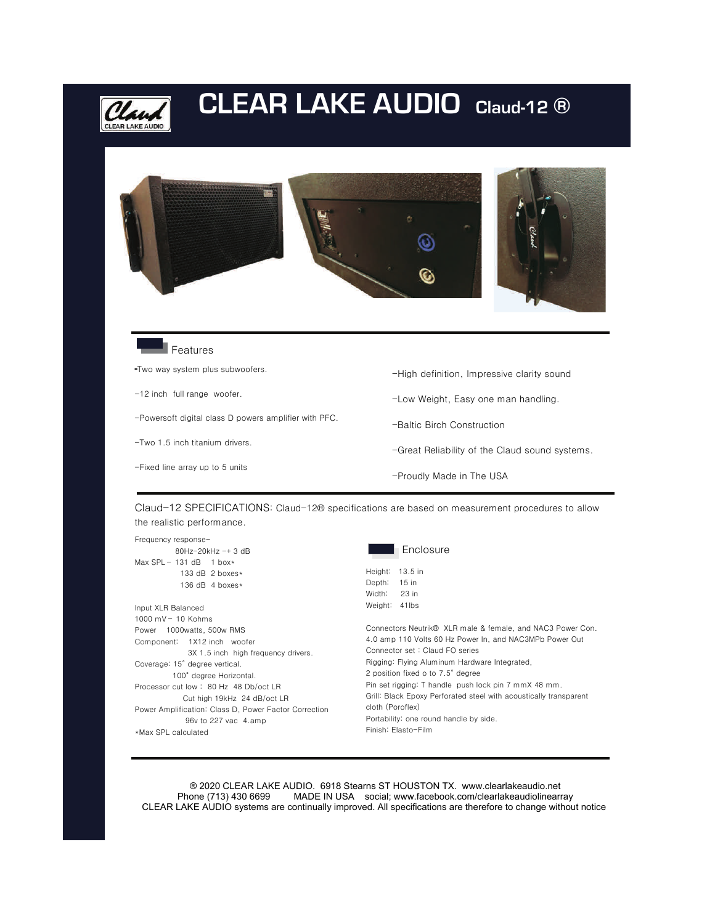

## **CLEAR LAKE AUDIO Claud-12 ®**





Features

**-**Two way system plus subwoofers.

- -12 inch full range woofer.
- -Powersoft digital class D powers amplifier with PFC.
- -Two 1.5 inch titanium drivers.
- -Fixed line array up to 5 units
- -High definition, Impressive clarity sound
- -Low Weight, Easy one man handling.
- -Baltic Birch Construction
- -Great Reliability of the Claud sound systems.
- -Proudly Made in The USA

Claud-12 SPECIFICATIONS: Claud-12® specifications are based on measurement procedures to allow the realistic performance.

Frequency response- 80Hz-20kHz -+ 3 dB

- Max  $SPL 131$  dB 1 box\* 133 dB 2 boxes\* 136 dB 4 boxes\*
- Input XLR Balanced 1000 mV – 10 Kohms Power 1000watts, 500w RMS Component: 1X12 inch woofer 3X 1.5 inch high frequency drivers. Coverage: 15° degree vertical. 100° degree Horizontal. Processor cut low : 80 Hz 48 Db/oct LR Cut high 19kHz 24 dB/oct LR Power Amplification: Class D, Power Factor Correction 96v to 227 vac 4.amp \*Max SPL calculated



Height: 13.5 in Depth: 15 in Width: 23 in

Weight: 41lbs Connectors Neutrik® XLR male & female, and NAC3 Power Con. 4.0 amp 110 Volts 60 Hz Power In, and NAC3MPb Power Out Connector set : Claud FO series Rigging: Flying Aluminum Hardware Integrated, 2 position fixed o to 7.5° degree Pin set rigging: T handle push lock pin 7 mmX 48 mm. Grill: Black Epoxy Perforated steel with acoustically transparent cloth (Poroflex) Portability: one round handle by side. Finish: Elasto-Film

 ® 2020 CLEAR LAKE AUDIO. 6918 Stearns ST HOUSTON TX. www.clearlakeaudio.net MADE IN USA social; www.facebook.com/clearlakeaudiolinearray CLEAR LAKE AUDIO systems are continually improved. All specifications are therefore to change without notice